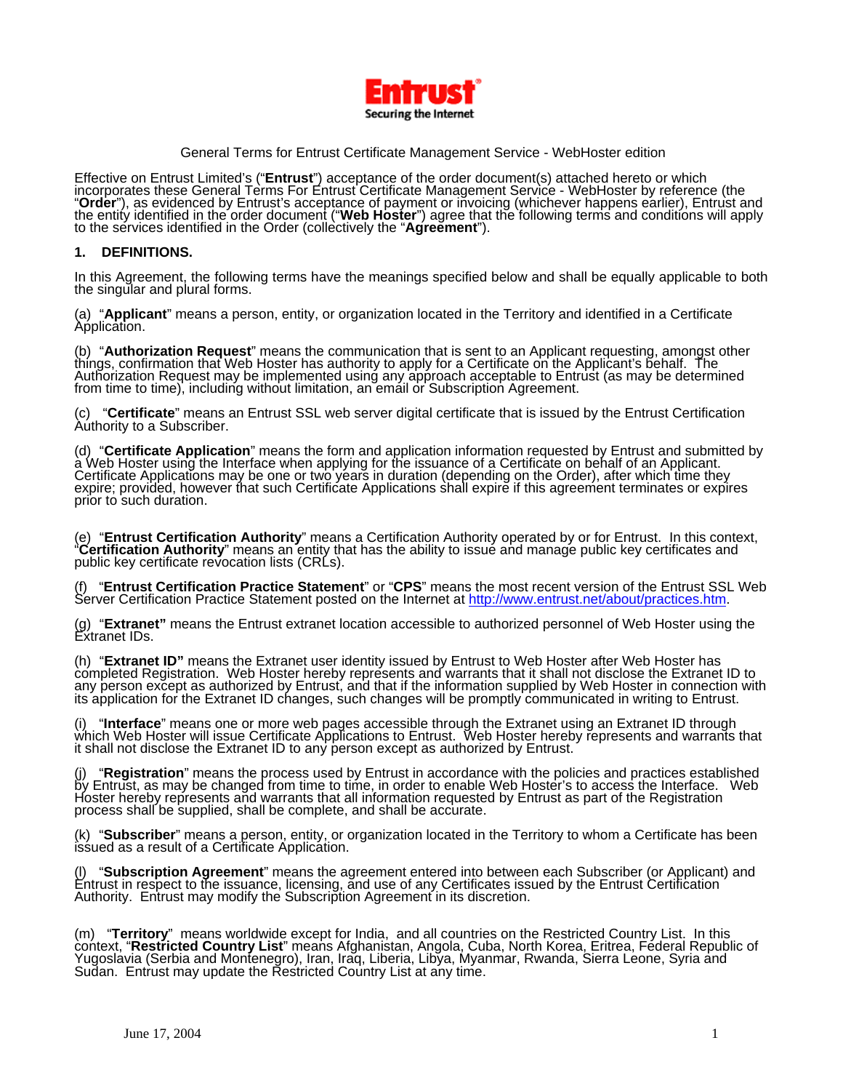

## General Terms for Entrust Certificate Management Service - WebHoster edition

Effective on Entrust Limited's ("**Entrust**") acceptance of the order document(s) attached hereto or which<br>incorporates these General Terms For Entrust Certificate Management Service - WebHoster by reference (the<br>"**Order**")

#### **1. DEFINITIONS.**

In this Agreement, the following terms have the meanings specified below and shall be equally applicable to both the singular and plural forms.

(a) "**Applicant**" means a person, entity, or organization located in the Territory and identified in a Certificate<br>Application.

(b) "Authorization Request" means the communication that is sent to an Applicant requesting, amongst other things, confirmation that Web Hoster has authority to apply for a Certificate on the Applicant's behalf. The Author

(c) "Certificate" means an Entrust SSL web server digital certificate that is issued by the Entrust Certification<br>Authority to a Subscriber.

(d) "**Certificate Application**" means the form and application information requested by Entrust and submitted by a Web Hoster using the Interface when applying for the issuance of a Certificate on behalf of an Applicant. C

(e) "Entrust Certification Authority" means a Certification Authority operated by or for Entrust. In this context, "Certification Authority" means an entity that has the ability to issue and manage public key certificates

(f) "**Entrust Certification Practice Statement**" or "**CPS**" means the most recent version of the Entrust SSL Web Server Certification Practice Statement posted on the Internet at [http://www.entrust.net/about/practices.htm.](http://www.entrust.net/about/practices.htm)

(g) "**Extranet"** means the Entrust extranet location accessible to authorized personnel of Web Hoster using the Extranet IDs.

(h) "**Extranet ID"** means the Extranet user identity issued by Entrust to Web Hoster after Web Hoster has completed Registration. Web Hoster hereby represents and warrants that it shall not disclose the Extranet ID to any person except as authorized by Entrust, and that if the information supplied by Web Hoster in connection with<br>its application for the Extranet ID changes, such changes will be promptly communicated in writing to Entrus

(i) "Interface" means one or more web pages accessible through the Extranet using an Extranet ID through<br>which Web Hoster will issue Certificate Applications to Entrust. Web Hoster hereby represents and warrants that<br>it sh

(j) "Registration" means the process used by Entrust in accordance with the policies and practices established<br>by Entrust, as may be changed from time to time, in order to enable Web Hoster's to access the Interface. Web Hoster hereby represents and warrants that all information requested by Entrust as part of the Registration<br>process shall be supplied, shall be complete, and shall be accurate.

(k) "**Subscriber**" means a person, entity, or organization located in the Territory to whom a Certificate has been<br>issued as a result of a Certificate Application.

(I) "Subscription Agreement" means the agreement entered into between each Subscriber (or Applicant) and Entrust in respect to the issuance, licensing, and use of any Certificates issued by the Entrust Certification Author

(m) "Territory" means worldwide except for India, and all countries on the Restricted Country List. In this context, "Restricted Country List" means Afghanistan, Angola, Cuba, North Korea, Eritrea, Federal Republic of Yugo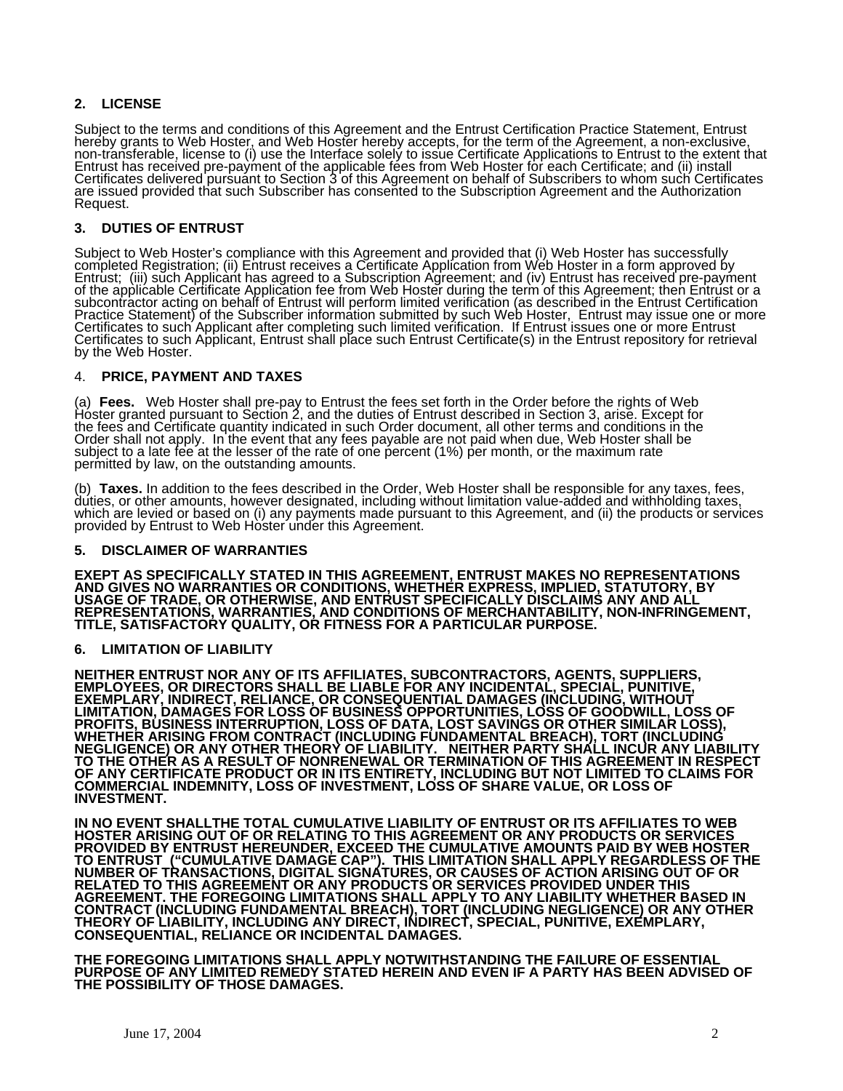# **2. LICENSE**

Subject to the terms and conditions of this Agreement and the Entrust Certification Practice Statement, Entrust hereby grants to Web Hoster, and Web Hoster hereby accepts, for the term of the Agreement, a non-exclusive, non-transferable, license to (i) use the Interface solely to issue Certificate Applications to Entrust to the exte Entrust has received pre-payment of the applicable fees from Web Hoster for each Certificate; and (ii) install Certificates delivered pursuant to Section 3 of this Agreement on behalf of Subscribers to whom such Certificates are issued provided that such Subscriber has consented to the Subscription Agreement and the Authorization<br>Request.

### **3. DUTIES OF ENTRUST**

Subject to Web Hoster's compliance with this Agreement and provided that (i) Web Hoster has successfully<br>completed Registration; (ii) Entrust receives a Certificate Application from Web Hoster in a form approved by<br>Entrust Certificates to such Applicant, Entrust shall place such Entrust Certificate(s) in the Entrust repository for retrieval<br>by the Web Hoster.

#### 4. **PRICE, PAYMENT AND TAXES**

(a) **Fees.** Web Hoster shall pre-pay to Entrust the fees set forth in the Order before the rights of Web Hoster granted pursuant to Section 2, and the duties of Entrust described in Section 3, arise. Except for the fees an

subject to a late fee at the lesser of the rate of one percent (1%) per month, or the maximum rate<br>permitted by law, on the outstanding amounts.<br>(b) **Taxes.** In addition to the fees described in the Order, Web Hoster shall

#### **5. DISCLAIMER OF WARRANTIES**

**EXEPT AS SPECIFICALLY STATED IN THIS AGREEMENT, ENTRUST MAKES NO REPRESENTATIONS**  AND GIVES NO WARRANTIES OR CONDITIONS, WHETHER EXPRESS, IMPLIED, STATUTORY, BY<br>USAGE OF TRADE, OR OTHERWISE, AND ENTRUST SPECIFICALLY DISCLAIMS ANY AND ALL REPRESENTATIONS, WARRANTIES, AND CONDITIONS OF MERCHANTABILITY, NON-INFRINGEMENT,<br>TITLE, SATISFACTORY QUALITY, OR FITNESS FOR A PARTICULAR PURPOSE.

#### **6. LIMITATION OF LIABILITY**

NEITHER ENTRUST NOR ANY OF ITS AFFILIATES, SUBCONTRACTORS, AGENTS, SUPPLIERS,<br>EMPLOYEES, OR DIRECTORS SHALL BE LIABLE FOR ANY INCIDENTAL, SPECIAL, PUNITIVE,<br>EXEMPLARY, INDIRECT, RELIANCE, OR CONSEQUENTIAL DAMAGES (INCLUDIN **TO THE OTHER AS A RESULT OF NONRENEWAL OR TERMINATION OF THIS AGREEMENT IN RESPECT**  OF ANY CERTIFICATE PRODUCT OR IN ITS ENTIRETY, INCLUDING BUT NOT LIMITED TO CLAIMS FOR<br>COMMERCIAL INDEMNITY, LOSS OF INVESTMENT, LOSS OF SHARE VALUE, OR LOSS OF<br>INVESTMENT.

**IN NO EVENT SHALLTHE TOTAL CUMULATIVE LIABILITY OF ENTRUST OR ITS AFFILIATES TO WEB HOSTER ARISING OUT OF OR RELATING TO THIS AGREEMENT OR ANY PRODUCTS OR SERVICES PROVIDED BY ENTRUST HEREUNDER, EXCEED THE CUMULATIVE AMOUNTS PAID BY WEB HOSTER TO ENTRUST ("CUMULATIVE DAMAGE CAP"). THIS LIMITATION SHALL APPLY REGARDLESS OF THE NUMBER OF TRANSACTIONS, DIGITAL SIGNATURES, OR CAUSES OF ACTION ARISING OUT OF OR RELATED TO THIS AGREEMENT OR ANY PRODUCTS OR SERVICES PROVIDED UNDER THIS AGREEMENT. THE FOREGOING LIMITATIONS SHALL APPLY TO ANY LIABILITY WHETHER BASED IN**  CONTRACT (INCLUDING FUNDAMENTAL BREACH), TORT (INCLUDING NEGLIGENCE) OR ANY OTHER<br>THEORY OF LIABILITY, INCLUDING ANY DIRECT, INDIRECT, SPECIAL, PUNITIVE, EXEMPLARY,<br>CONSEQUENTIAL, RELIANCE OR INCIDENTAL DAMAGES.

**THE FOREGOING LIMITATIONS SHALL APPLY NOTWITHSTANDING THE FAILURE OF ESSENTIAL PURPOSE OF ANY LIMITED REMEDY STATED HEREIN AND EVEN IF A PARTY HAS BEEN ADVISED OF THE POSSIBILITY OF THOSE DAMAGES.**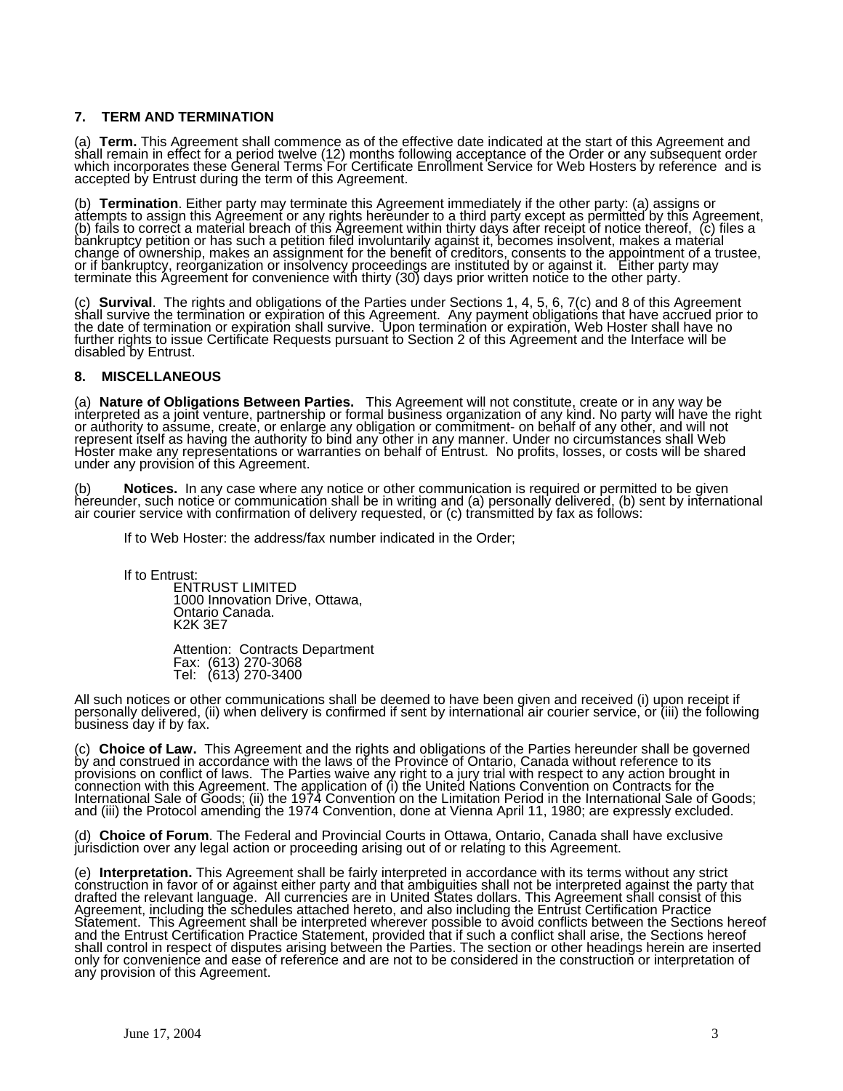# **7. TERM AND TERMINATION**

(a) Term. This Agreement shall commence as of the effective date indicated at the start of this Agreement and shall remain in effect for a period twelve (12) months following acceptance of the Order or any subsequent order

(b) Termination. Either party may terminate this Agreement immediately if the other party: (a) assigns or<br>attempts to assign this Agreement or any rights hereunder to a third party except as permitted by this Agreement,<br>(b bankruptcy petition or has such a petition filed involuntarily against it, becomes insolvent, makes a matèrial<br>change of ownership, makes an assignment for the benefit of creditors, consents to the appointment of a trustee

(c) **Survival**. The rights and obligations of the Parties under Sections 1, 4, 5, 6, 7(c) and 8 of this Agreement shall survive the termination or expiration of this Agreement. Any payment obligations that have accrued pri

### **8. MISCELLANEOUS**

(a) **Nature of Obligations Between Parties.** This Agreement will not constitute, create or in any way be<br>interpreted as a joint venture, partnership or formal business organization of any kind. No party will have the right Febresent itself as having the authority to bind any other in any manner. Under no circumstances shall Web<br>Hoster make any representations or warranties on behalf of Entrust. No profits, losses, or costs will be shared<br>und

(b) **Notices.** In any case where any notice or other communication is required or permitted to be given hereunder, such notice or communication shall be in writing and (a) personally delivered, (b) sent by international ai

If to Web Hoster: the address/fax number indicated in the Order;

If to Entrust:

ENTRUST LIMITED 1000 Innovation Drive, Ottawa, Ontario Canada. K2K 3E7

Attention: Contracts Department Fax: (613) 270-3068 Tel: (613) 270-3400

All such notices or other communications shall be deemed to have been given and received (i) upon receipt if<br>personally delivered, (ii) when delivery is confirmed if sent by international air courier service, or (iii) the

(c) **Choice of Law.** This Agreement and the rights and obligations of the Parties hereunder shall be governed by and construed in accordance with the laws of the Province of Ontario, Canada without reference to its provisions on conflict of laws. The Parties waive any right to a jury trial with respect to any action brought in<br>connection with this Agreement. The application of (i) the United Nations Convention on Contracts for the International Sale of Goods; (ii) the 1974 Convention on the Limitation Period in the International Sale of Goods; and (iii) the Protocol amending the 1974 Convention, done at Vienna April 11, 1980; are expressly excluded.

(d) **Choice of Forum**. The Federal and Provincial Courts in Ottawa, Ontario, Canada shall have exclusive jurisdiction over any legal action or proceeding arising out of or relating to this Agreement.

(e) Interpretation. This Agreement shall be fairly interpreted in accordance with its terms without any strict<br>construction in favor of or against either party and that ambiguities shall not be interpreted against the part Agreement, including the schedules attached hereto, and also including the Entrust Certification Practice<br>Statement. This Agreement shall be interpreted wherever possible to avoid conflicts between the Sections hereof<br>and shall control in respect of disputes arising between the Parties. The section or other headings herein are inserted<br>only for convenience and ease of reference and are not to be considered in the construction or interpretat